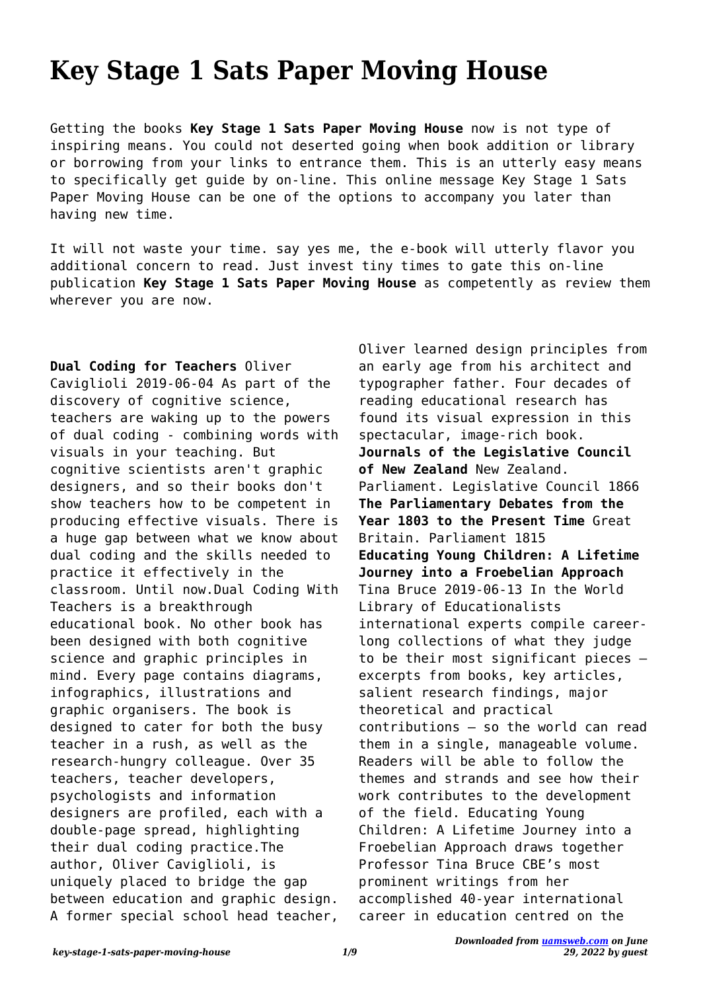## **Key Stage 1 Sats Paper Moving House**

Getting the books **Key Stage 1 Sats Paper Moving House** now is not type of inspiring means. You could not deserted going when book addition or library or borrowing from your links to entrance them. This is an utterly easy means to specifically get guide by on-line. This online message Key Stage 1 Sats Paper Moving House can be one of the options to accompany you later than having new time.

It will not waste your time. say yes me, the e-book will utterly flavor you additional concern to read. Just invest tiny times to gate this on-line publication **Key Stage 1 Sats Paper Moving House** as competently as review them wherever you are now.

**Dual Coding for Teachers** Oliver Caviglioli 2019-06-04 As part of the discovery of cognitive science, teachers are waking up to the powers of dual coding - combining words with visuals in your teaching. But cognitive scientists aren't graphic designers, and so their books don't show teachers how to be competent in producing effective visuals. There is a huge gap between what we know about dual coding and the skills needed to practice it effectively in the classroom. Until now.Dual Coding With Teachers is a breakthrough educational book. No other book has been designed with both cognitive science and graphic principles in mind. Every page contains diagrams, infographics, illustrations and graphic organisers. The book is designed to cater for both the busy teacher in a rush, as well as the research-hungry colleague. Over 35 teachers, teacher developers, psychologists and information designers are profiled, each with a double-page spread, highlighting their dual coding practice.The author, Oliver Caviglioli, is uniquely placed to bridge the gap between education and graphic design. A former special school head teacher,

Oliver learned design principles from an early age from his architect and typographer father. Four decades of reading educational research has found its visual expression in this spectacular, image-rich book. **Journals of the Legislative Council of New Zealand** New Zealand. Parliament. Legislative Council 1866 **The Parliamentary Debates from the Year 1803 to the Present Time** Great Britain. Parliament 1815 **Educating Young Children: A Lifetime Journey into a Froebelian Approach** Tina Bruce 2019-06-13 In the World Library of Educationalists international experts compile careerlong collections of what they judge to be their most significant pieces – excerpts from books, key articles, salient research findings, major theoretical and practical contributions – so the world can read them in a single, manageable volume. Readers will be able to follow the themes and strands and see how their work contributes to the development of the field. Educating Young Children: A Lifetime Journey into a Froebelian Approach draws together Professor Tina Bruce CBE's most prominent writings from her accomplished 40-year international career in education centred on the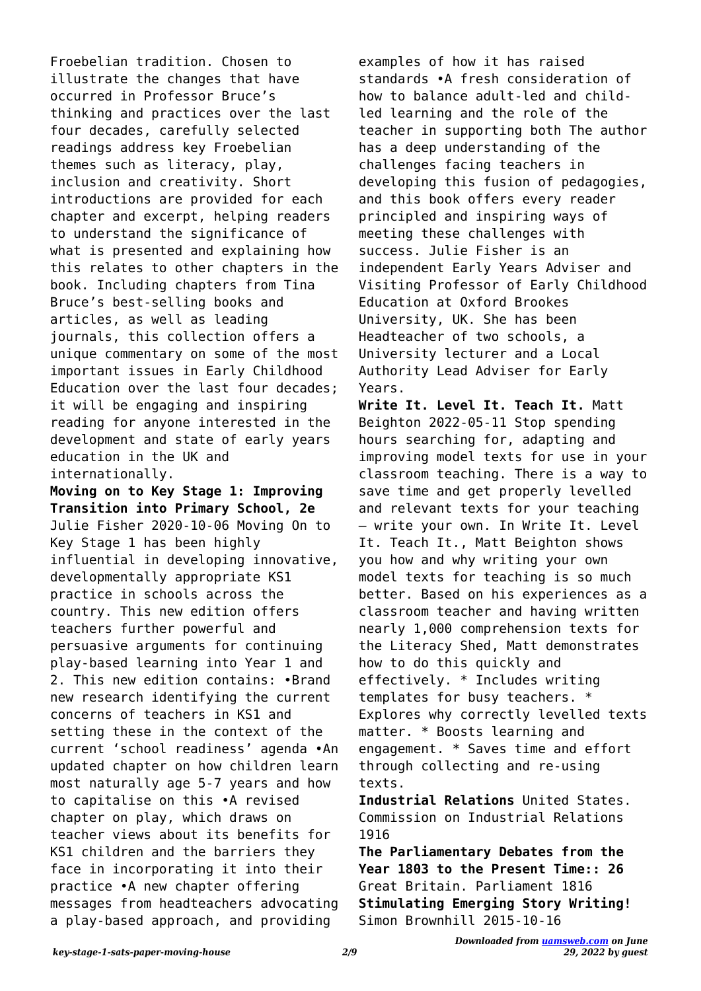Froebelian tradition. Chosen to illustrate the changes that have occurred in Professor Bruce's thinking and practices over the last four decades, carefully selected readings address key Froebelian themes such as literacy, play, inclusion and creativity. Short introductions are provided for each chapter and excerpt, helping readers to understand the significance of what is presented and explaining how this relates to other chapters in the book. Including chapters from Tina Bruce's best-selling books and articles, as well as leading journals, this collection offers a unique commentary on some of the most important issues in Early Childhood Education over the last four decades; it will be engaging and inspiring reading for anyone interested in the development and state of early years education in the UK and internationally.

**Moving on to Key Stage 1: Improving Transition into Primary School, 2e** Julie Fisher 2020-10-06 Moving On to Key Stage 1 has been highly influential in developing innovative, developmentally appropriate KS1 practice in schools across the country. This new edition offers teachers further powerful and persuasive arguments for continuing play-based learning into Year 1 and 2. This new edition contains: •Brand new research identifying the current concerns of teachers in KS1 and setting these in the context of the current 'school readiness' agenda •An updated chapter on how children learn most naturally age 5-7 years and how to capitalise on this •A revised chapter on play, which draws on teacher views about its benefits for KS1 children and the barriers they face in incorporating it into their practice •A new chapter offering messages from headteachers advocating a play-based approach, and providing

examples of how it has raised standards •A fresh consideration of how to balance adult-led and childled learning and the role of the teacher in supporting both The author has a deep understanding of the challenges facing teachers in developing this fusion of pedagogies, and this book offers every reader principled and inspiring ways of meeting these challenges with success. Julie Fisher is an independent Early Years Adviser and Visiting Professor of Early Childhood Education at Oxford Brookes University, UK. She has been Headteacher of two schools, a University lecturer and a Local Authority Lead Adviser for Early Years.

**Write It. Level It. Teach It.** Matt Beighton 2022-05-11 Stop spending hours searching for, adapting and improving model texts for use in your classroom teaching. There is a way to save time and get properly levelled and relevant texts for your teaching – write your own. In Write It. Level It. Teach It., Matt Beighton shows you how and why writing your own model texts for teaching is so much better. Based on his experiences as a classroom teacher and having written nearly 1,000 comprehension texts for the Literacy Shed, Matt demonstrates how to do this quickly and effectively. \* Includes writing templates for busy teachers. \* Explores why correctly levelled texts matter. \* Boosts learning and engagement. \* Saves time and effort through collecting and re-using texts.

**Industrial Relations** United States. Commission on Industrial Relations 1916

**The Parliamentary Debates from the Year 1803 to the Present Time:: 26** Great Britain. Parliament 1816 **Stimulating Emerging Story Writing!** Simon Brownhill 2015-10-16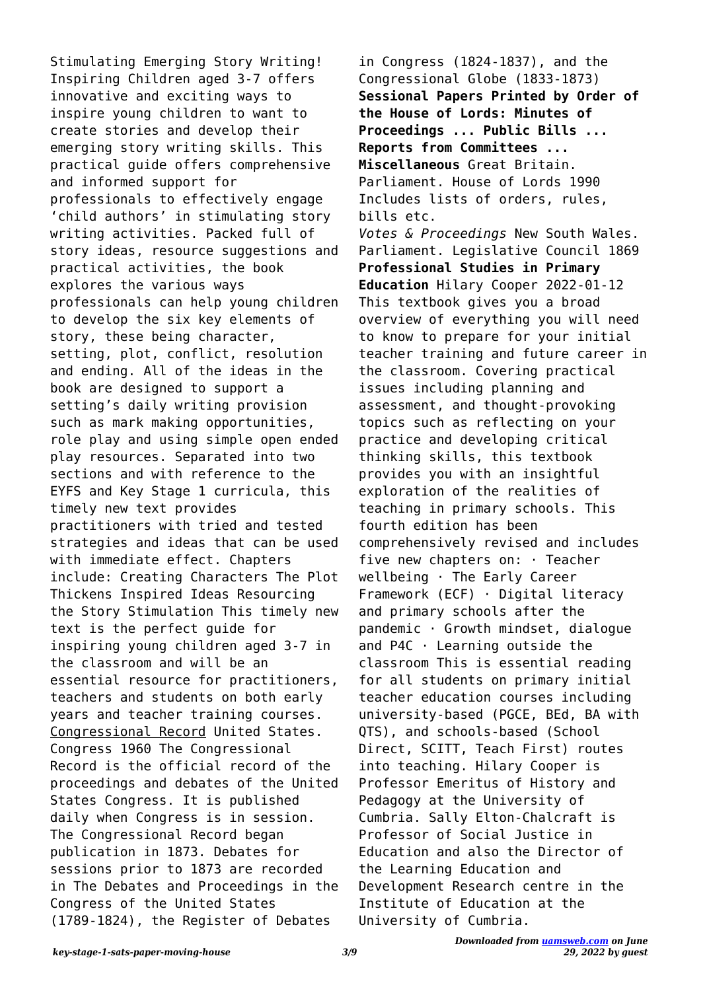Stimulating Emerging Story Writing! Inspiring Children aged 3-7 offers innovative and exciting ways to inspire young children to want to create stories and develop their emerging story writing skills. This practical guide offers comprehensive and informed support for professionals to effectively engage 'child authors' in stimulating story writing activities. Packed full of story ideas, resource suggestions and practical activities, the book explores the various ways professionals can help young children to develop the six key elements of story, these being character, setting, plot, conflict, resolution and ending. All of the ideas in the book are designed to support a setting's daily writing provision such as mark making opportunities, role play and using simple open ended play resources. Separated into two sections and with reference to the EYFS and Key Stage 1 curricula, this timely new text provides practitioners with tried and tested strategies and ideas that can be used with immediate effect. Chapters include: Creating Characters The Plot Thickens Inspired Ideas Resourcing the Story Stimulation This timely new text is the perfect guide for inspiring young children aged 3-7 in the classroom and will be an essential resource for practitioners, teachers and students on both early years and teacher training courses. Congressional Record United States. Congress 1960 The Congressional Record is the official record of the proceedings and debates of the United States Congress. It is published daily when Congress is in session. The Congressional Record began publication in 1873. Debates for sessions prior to 1873 are recorded in The Debates and Proceedings in the Congress of the United States (1789-1824), the Register of Debates

in Congress (1824-1837), and the Congressional Globe (1833-1873) **Sessional Papers Printed by Order of the House of Lords: Minutes of Proceedings ... Public Bills ... Reports from Committees ... Miscellaneous** Great Britain. Parliament. House of Lords 1990 Includes lists of orders, rules, bills etc. *Votes & Proceedings* New South Wales. Parliament. Legislative Council 1869 **Professional Studies in Primary Education** Hilary Cooper 2022-01-12 This textbook gives you a broad overview of everything you will need to know to prepare for your initial teacher training and future career in the classroom. Covering practical issues including planning and assessment, and thought-provoking topics such as reflecting on your practice and developing critical thinking skills, this textbook provides you with an insightful exploration of the realities of teaching in primary schools. This fourth edition has been comprehensively revised and includes five new chapters on: · Teacher wellbeing · The Early Career Framework (ECF) · Digital literacy and primary schools after the pandemic · Growth mindset, dialogue and P4C · Learning outside the classroom This is essential reading for all students on primary initial teacher education courses including university-based (PGCE, BEd, BA with QTS), and schools-based (School Direct, SCITT, Teach First) routes into teaching. Hilary Cooper is Professor Emeritus of History and Pedagogy at the University of Cumbria. Sally Elton-Chalcraft is Professor of Social Justice in Education and also the Director of the Learning Education and Development Research centre in the Institute of Education at the University of Cumbria.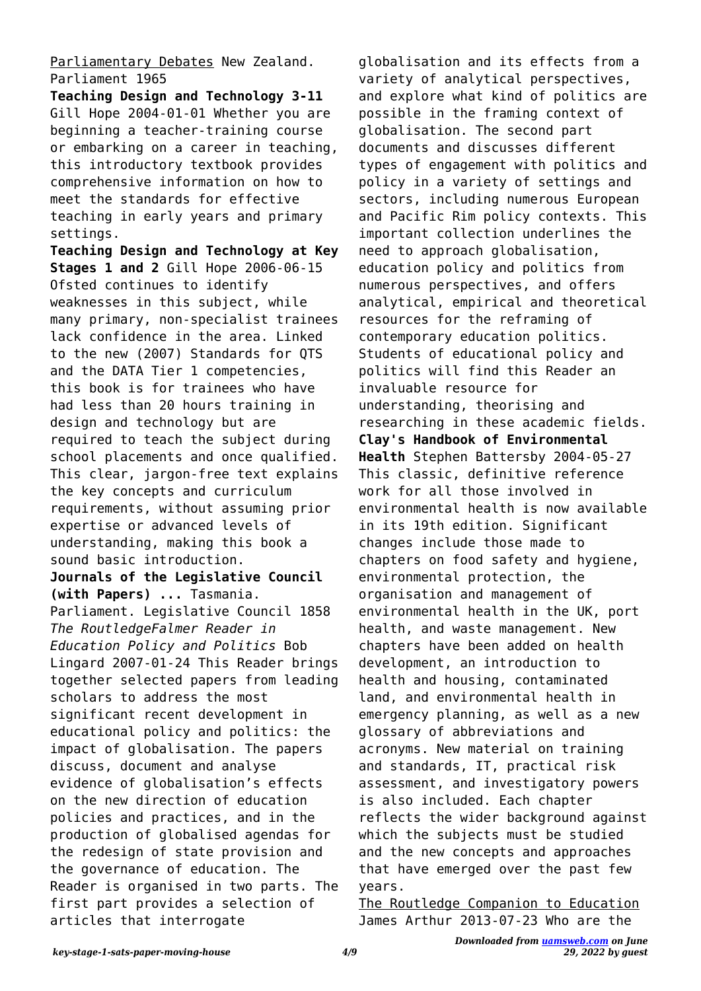## Parliamentary Debates New Zealand. Parliament 1965

**Teaching Design and Technology 3-11** Gill Hope 2004-01-01 Whether you are beginning a teacher-training course or embarking on a career in teaching, this introductory textbook provides comprehensive information on how to meet the standards for effective teaching in early years and primary settings.

**Teaching Design and Technology at Key Stages 1 and 2** Gill Hope 2006-06-15 Ofsted continues to identify weaknesses in this subject, while many primary, non-specialist trainees lack confidence in the area. Linked to the new (2007) Standards for QTS and the DATA Tier 1 competencies, this book is for trainees who have had less than 20 hours training in design and technology but are required to teach the subject during school placements and once qualified. This clear, jargon-free text explains the key concepts and curriculum requirements, without assuming prior expertise or advanced levels of understanding, making this book a sound basic introduction.

**Journals of the Legislative Council (with Papers) ...** Tasmania. Parliament. Legislative Council 1858

*The RoutledgeFalmer Reader in Education Policy and Politics* Bob Lingard 2007-01-24 This Reader brings together selected papers from leading scholars to address the most significant recent development in educational policy and politics: the impact of globalisation. The papers discuss, document and analyse evidence of globalisation's effects on the new direction of education policies and practices, and in the production of globalised agendas for the redesign of state provision and the governance of education. The Reader is organised in two parts. The first part provides a selection of articles that interrogate

globalisation and its effects from a variety of analytical perspectives, and explore what kind of politics are possible in the framing context of globalisation. The second part documents and discusses different types of engagement with politics and policy in a variety of settings and sectors, including numerous European and Pacific Rim policy contexts. This important collection underlines the need to approach globalisation, education policy and politics from numerous perspectives, and offers analytical, empirical and theoretical resources for the reframing of contemporary education politics. Students of educational policy and politics will find this Reader an invaluable resource for understanding, theorising and researching in these academic fields. **Clay's Handbook of Environmental Health** Stephen Battersby 2004-05-27 This classic, definitive reference work for all those involved in environmental health is now available in its 19th edition. Significant changes include those made to chapters on food safety and hygiene, environmental protection, the organisation and management of environmental health in the UK, port health, and waste management. New chapters have been added on health development, an introduction to health and housing, contaminated land, and environmental health in emergency planning, as well as a new glossary of abbreviations and acronyms. New material on training and standards, IT, practical risk assessment, and investigatory powers is also included. Each chapter reflects the wider background against which the subjects must be studied and the new concepts and approaches that have emerged over the past few years.

The Routledge Companion to Education James Arthur 2013-07-23 Who are the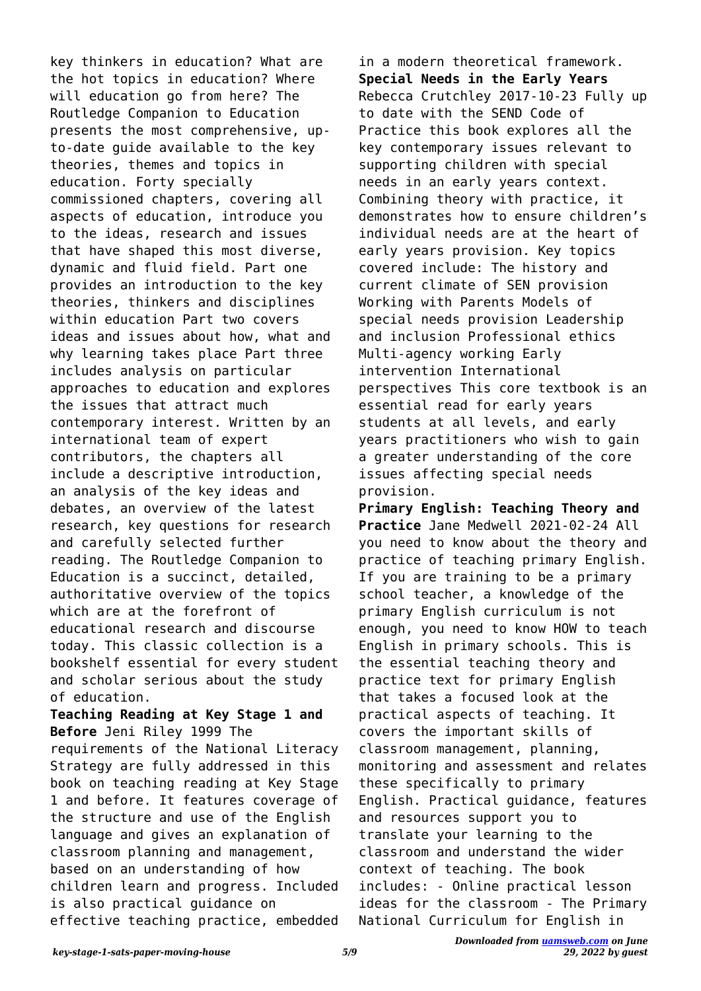key thinkers in education? What are the hot topics in education? Where will education go from here? The Routledge Companion to Education presents the most comprehensive, upto-date guide available to the key theories, themes and topics in education. Forty specially commissioned chapters, covering all aspects of education, introduce you to the ideas, research and issues that have shaped this most diverse, dynamic and fluid field. Part one provides an introduction to the key theories, thinkers and disciplines within education Part two covers ideas and issues about how, what and why learning takes place Part three includes analysis on particular approaches to education and explores the issues that attract much contemporary interest. Written by an international team of expert contributors, the chapters all include a descriptive introduction, an analysis of the key ideas and debates, an overview of the latest research, key questions for research and carefully selected further reading. The Routledge Companion to Education is a succinct, detailed, authoritative overview of the topics which are at the forefront of educational research and discourse today. This classic collection is a bookshelf essential for every student and scholar serious about the study of education.

**Teaching Reading at Key Stage 1 and Before** Jeni Riley 1999 The requirements of the National Literacy Strategy are fully addressed in this book on teaching reading at Key Stage 1 and before. It features coverage of the structure and use of the English language and gives an explanation of classroom planning and management, based on an understanding of how children learn and progress. Included is also practical guidance on effective teaching practice, embedded

in a modern theoretical framework. **Special Needs in the Early Years** Rebecca Crutchley 2017-10-23 Fully up to date with the SEND Code of Practice this book explores all the key contemporary issues relevant to supporting children with special needs in an early years context. Combining theory with practice, it demonstrates how to ensure children's individual needs are at the heart of early years provision. Key topics covered include: The history and current climate of SEN provision Working with Parents Models of special needs provision Leadership and inclusion Professional ethics Multi-agency working Early intervention International perspectives This core textbook is an essential read for early years students at all levels, and early years practitioners who wish to gain a greater understanding of the core issues affecting special needs provision.

**Primary English: Teaching Theory and Practice** Jane Medwell 2021-02-24 All you need to know about the theory and practice of teaching primary English. If you are training to be a primary school teacher, a knowledge of the primary English curriculum is not enough, you need to know HOW to teach English in primary schools. This is the essential teaching theory and practice text for primary English that takes a focused look at the practical aspects of teaching. It covers the important skills of classroom management, planning, monitoring and assessment and relates these specifically to primary English. Practical guidance, features and resources support you to translate your learning to the classroom and understand the wider context of teaching. The book includes: - Online practical lesson ideas for the classroom - The Primary National Curriculum for English in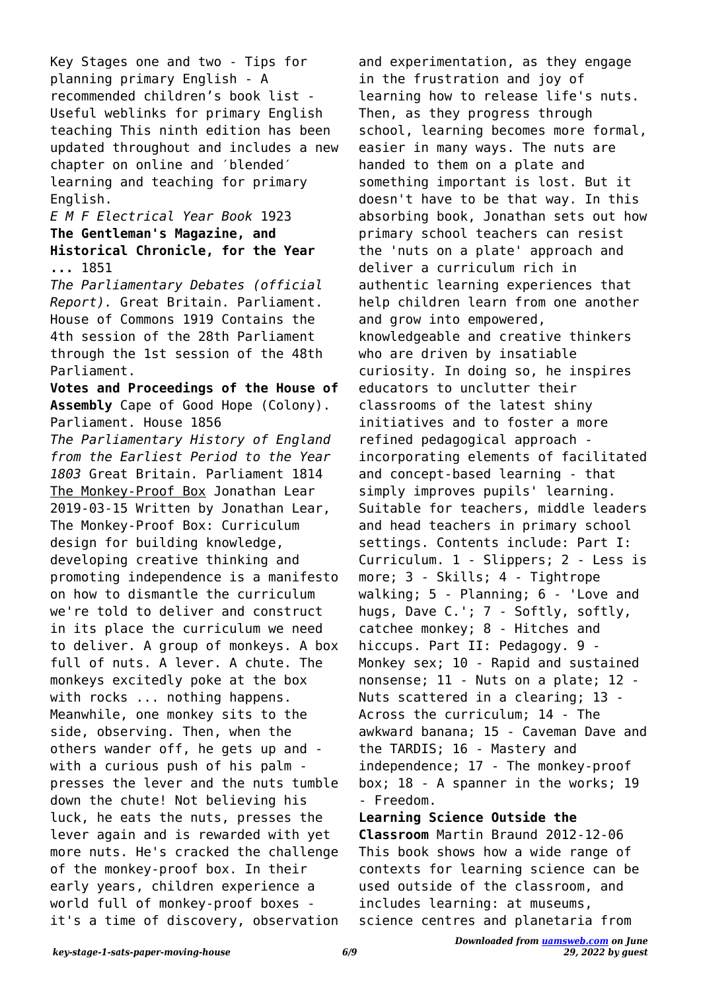Key Stages one and two - Tips for planning primary English - A recommended children's book list - Useful weblinks for primary English teaching This ninth edition has been updated throughout and includes a new chapter on online and ′blended′ learning and teaching for primary English.

## *E M F Electrical Year Book* 1923 **The Gentleman's Magazine, and Historical Chronicle, for the Year ...** 1851

*The Parliamentary Debates (official Report).* Great Britain. Parliament. House of Commons 1919 Contains the 4th session of the 28th Parliament through the 1st session of the 48th Parliament.

**Votes and Proceedings of the House of Assembly** Cape of Good Hope (Colony). Parliament. House 1856

*The Parliamentary History of England from the Earliest Period to the Year 1803* Great Britain. Parliament 1814 The Monkey-Proof Box Jonathan Lear 2019-03-15 Written by Jonathan Lear, The Monkey-Proof Box: Curriculum design for building knowledge, developing creative thinking and promoting independence is a manifesto on how to dismantle the curriculum we're told to deliver and construct in its place the curriculum we need to deliver. A group of monkeys. A box full of nuts. A lever. A chute. The monkeys excitedly poke at the box with rocks ... nothing happens. Meanwhile, one monkey sits to the side, observing. Then, when the others wander off, he gets up and with a curious push of his palm presses the lever and the nuts tumble down the chute! Not believing his luck, he eats the nuts, presses the lever again and is rewarded with yet more nuts. He's cracked the challenge of the monkey-proof box. In their early years, children experience a world full of monkey-proof boxes it's a time of discovery, observation

and experimentation, as they engage in the frustration and joy of learning how to release life's nuts. Then, as they progress through school, learning becomes more formal, easier in many ways. The nuts are handed to them on a plate and something important is lost. But it doesn't have to be that way. In this absorbing book, Jonathan sets out how primary school teachers can resist the 'nuts on a plate' approach and deliver a curriculum rich in authentic learning experiences that help children learn from one another and grow into empowered, knowledgeable and creative thinkers who are driven by insatiable curiosity. In doing so, he inspires educators to unclutter their classrooms of the latest shiny initiatives and to foster a more refined pedagogical approach incorporating elements of facilitated and concept-based learning - that simply improves pupils' learning. Suitable for teachers, middle leaders and head teachers in primary school settings. Contents include: Part I: Curriculum. 1 - Slippers; 2 - Less is more; 3 - Skills; 4 - Tightrope walking; 5 - Planning; 6 - 'Love and hugs, Dave C.'; 7 - Softly, softly, catchee monkey; 8 - Hitches and hiccups. Part II: Pedagogy. 9 - Monkey sex; 10 - Rapid and sustained nonsense; 11 - Nuts on a plate; 12 - Nuts scattered in a clearing; 13 - Across the curriculum; 14 - The awkward banana; 15 - Caveman Dave and the TARDIS; 16 - Mastery and independence; 17 - The monkey-proof box; 18 - A spanner in the works; 19 - Freedom.

**Learning Science Outside the Classroom** Martin Braund 2012-12-06 This book shows how a wide range of contexts for learning science can be used outside of the classroom, and includes learning: at museums, science centres and planetaria from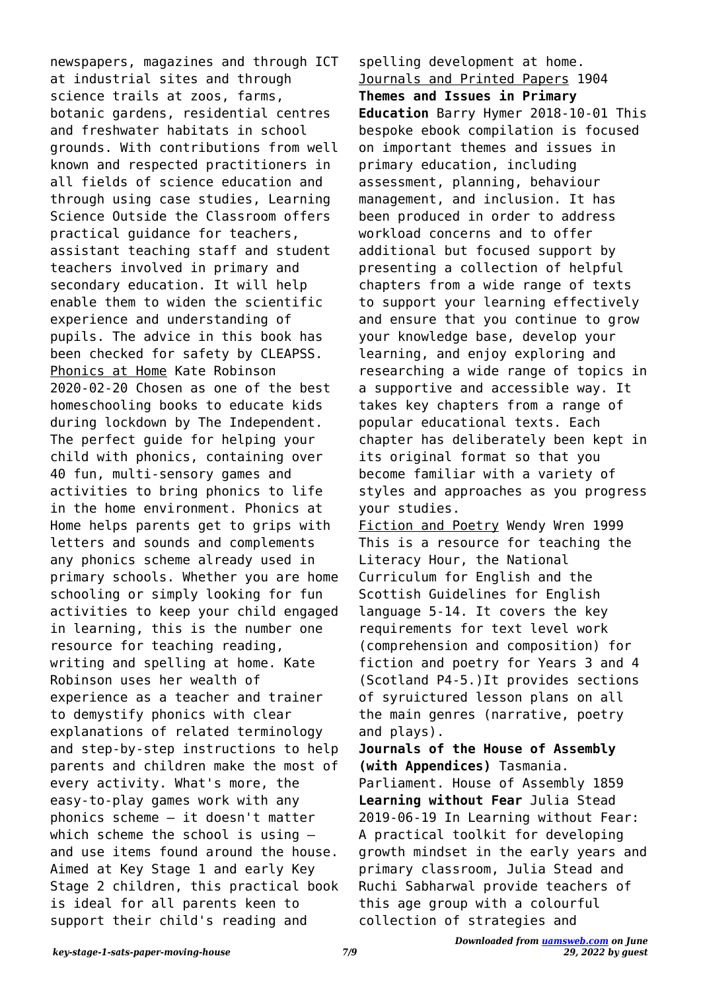newspapers, magazines and through ICT at industrial sites and through science trails at zoos, farms, botanic gardens, residential centres and freshwater habitats in school grounds. With contributions from well known and respected practitioners in all fields of science education and through using case studies, Learning Science Outside the Classroom offers practical guidance for teachers, assistant teaching staff and student teachers involved in primary and secondary education. It will help enable them to widen the scientific experience and understanding of pupils. The advice in this book has been checked for safety by CLEAPSS. Phonics at Home Kate Robinson 2020-02-20 Chosen as one of the best homeschooling books to educate kids during lockdown by The Independent. The perfect guide for helping your child with phonics, containing over 40 fun, multi-sensory games and activities to bring phonics to life in the home environment. Phonics at Home helps parents get to grips with letters and sounds and complements any phonics scheme already used in primary schools. Whether you are home schooling or simply looking for fun activities to keep your child engaged in learning, this is the number one resource for teaching reading, writing and spelling at home. Kate Robinson uses her wealth of experience as a teacher and trainer to demystify phonics with clear explanations of related terminology and step-by-step instructions to help parents and children make the most of every activity. What's more, the easy-to-play games work with any phonics scheme – it doesn't matter which scheme the school is using and use items found around the house. Aimed at Key Stage 1 and early Key Stage 2 children, this practical book is ideal for all parents keen to support their child's reading and

spelling development at home. Journals and Printed Papers 1904 **Themes and Issues in Primary Education** Barry Hymer 2018-10-01 This bespoke ebook compilation is focused on important themes and issues in primary education, including assessment, planning, behaviour management, and inclusion. It has been produced in order to address workload concerns and to offer additional but focused support by presenting a collection of helpful chapters from a wide range of texts to support your learning effectively and ensure that you continue to grow your knowledge base, develop your learning, and enjoy exploring and researching a wide range of topics in a supportive and accessible way. It takes key chapters from a range of popular educational texts. Each chapter has deliberately been kept in its original format so that you become familiar with a variety of styles and approaches as you progress your studies. Fiction and Poetry Wendy Wren 1999 This is a resource for teaching the Literacy Hour, the National Curriculum for English and the Scottish Guidelines for English language 5-14. It covers the key requirements for text level work (comprehension and composition) for fiction and poetry for Years 3 and 4 (Scotland P4-5.)It provides sections of syruictured lesson plans on all the main genres (narrative, poetry and plays).

**Journals of the House of Assembly (with Appendices)** Tasmania.

Parliament. House of Assembly 1859 **Learning without Fear** Julia Stead 2019-06-19 In Learning without Fear: A practical toolkit for developing growth mindset in the early years and primary classroom, Julia Stead and Ruchi Sabharwal provide teachers of this age group with a colourful collection of strategies and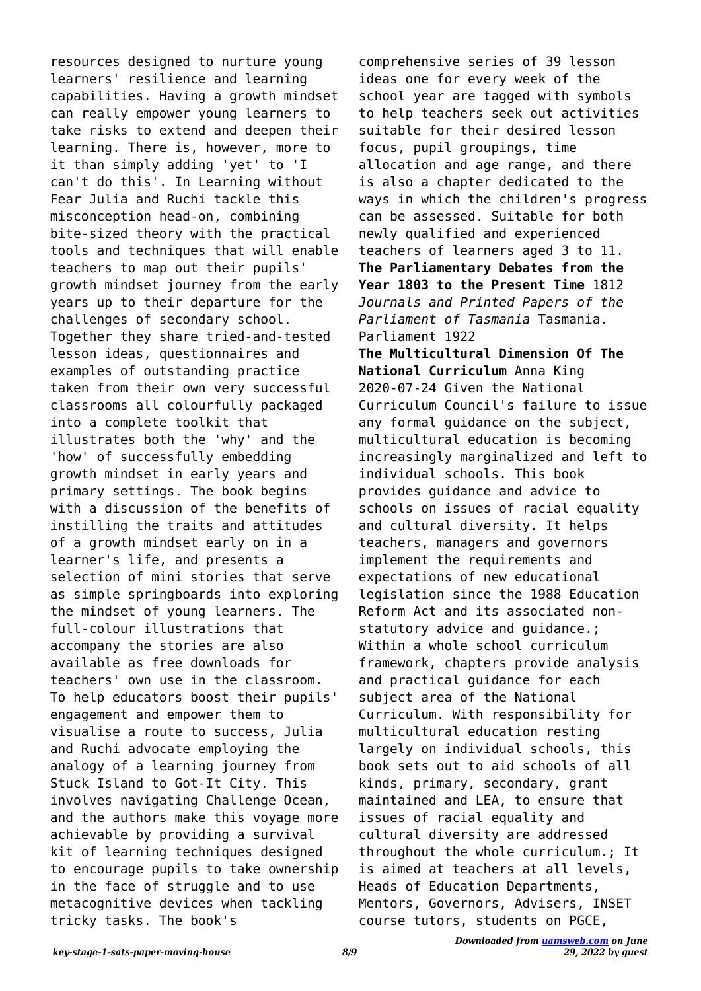resources designed to nurture young learners' resilience and learning capabilities. Having a growth mindset can really empower young learners to take risks to extend and deepen their learning. There is, however, more to it than simply adding 'yet' to 'I can't do this'. In Learning without Fear Julia and Ruchi tackle this misconception head-on, combining bite-sized theory with the practical tools and techniques that will enable teachers to map out their pupils' growth mindset journey from the early years up to their departure for the challenges of secondary school. Together they share tried-and-tested lesson ideas, questionnaires and examples of outstanding practice taken from their own very successful classrooms all colourfully packaged into a complete toolkit that illustrates both the 'why' and the 'how' of successfully embedding growth mindset in early years and primary settings. The book begins with a discussion of the benefits of instilling the traits and attitudes of a growth mindset early on in a learner's life, and presents a selection of mini stories that serve as simple springboards into exploring the mindset of young learners. The full-colour illustrations that accompany the stories are also available as free downloads for teachers' own use in the classroom. To help educators boost their pupils' engagement and empower them to visualise a route to success, Julia and Ruchi advocate employing the analogy of a learning journey from Stuck Island to Got-It City. This involves navigating Challenge Ocean, and the authors make this voyage more achievable by providing a survival kit of learning techniques designed to encourage pupils to take ownership in the face of struggle and to use metacognitive devices when tackling tricky tasks. The book's

comprehensive series of 39 lesson ideas one for every week of the school year are tagged with symbols to help teachers seek out activities suitable for their desired lesson focus, pupil groupings, time allocation and age range, and there is also a chapter dedicated to the ways in which the children's progress can be assessed. Suitable for both newly qualified and experienced teachers of learners aged 3 to 11. **The Parliamentary Debates from the Year 1803 to the Present Time** 1812 *Journals and Printed Papers of the Parliament of Tasmania* Tasmania. Parliament 1922 **The Multicultural Dimension Of The National Curriculum** Anna King 2020-07-24 Given the National Curriculum Council's failure to issue any formal guidance on the subject, multicultural education is becoming increasingly marginalized and left to individual schools. This book provides guidance and advice to schools on issues of racial equality and cultural diversity. It helps teachers, managers and governors implement the requirements and expectations of new educational legislation since the 1988 Education Reform Act and its associated nonstatutory advice and guidance.; Within a whole school curriculum framework, chapters provide analysis and practical guidance for each subject area of the National Curriculum. With responsibility for multicultural education resting largely on individual schools, this book sets out to aid schools of all kinds, primary, secondary, grant maintained and LEA, to ensure that issues of racial equality and cultural diversity are addressed throughout the whole curriculum.; It is aimed at teachers at all levels, Heads of Education Departments, Mentors, Governors, Advisers, INSET course tutors, students on PGCE,